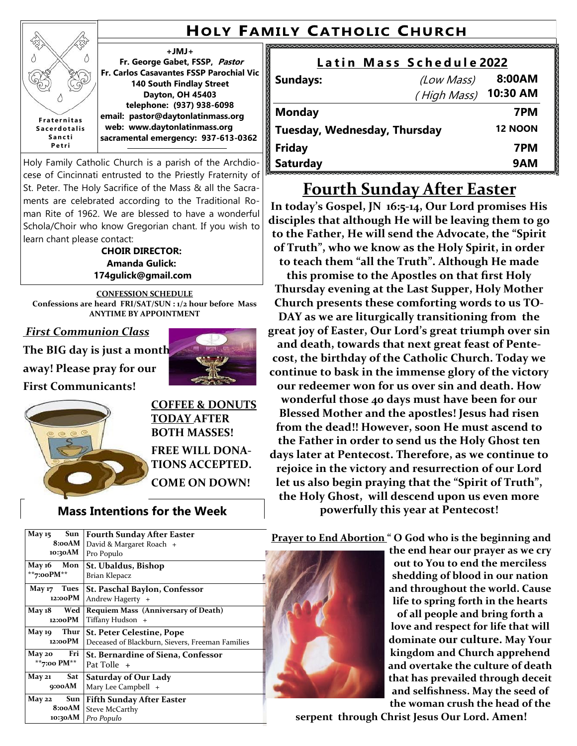# **HOLY FAMILY CATHOLIC CHURCH**

**+JMJ+** Δ **Fr. George Gabet, FSSP, Pastor Fr. Carlos Casavantes FSSP Parochial Vic 140 South Findlay Street Dayton, OH 45403 telephone: (937) 938-6098 email: pastor@daytonlatinmass.org F r a t e r n i t a s web: www.daytonlatinmass.org S a c e r d o t a l i s S a n c t i sacramental emergency: 937-613-0362 P e t r i**

Holy Family Catholic Church is a parish of the Archdiocese of Cincinnati entrusted to the Priestly Fraternity of St. Peter. The Holy Sacrifice of the Mass & all the Sacraments are celebrated according to the Traditional Roman Rite of 1962. We are blessed to have a wonderful Schola/Choir who know Gregorian chant. If you wish to learn chant please contact:

**CHOIR DIRECTOR: Amanda Gulick: 174gulick@gmail.com**

**CONFESSION SCHEDULE Confessions are heard FRI/SAT/SUN : 1/2 hour before Mass ANYTIME BY APPOINTMENT**

*First Communion Class*

E Δ

Q

**The BIG day is just a month away! Please pray for our**

**First Communicants!**



### **Mass Intentions for the Week**

|                              |  | Latin Mass Schedule 2022 |                |
|------------------------------|--|--------------------------|----------------|
| <b>Sundays:</b>              |  | (Low Mass)               | 8:00AM         |
|                              |  | (High Mass)              | 10:30 AM       |
| <b>Monday</b>                |  |                          | 7PM            |
| Tuesday, Wednesday, Thursday |  |                          | <b>12 NOON</b> |
| <b>Friday</b>                |  |                          | 7PM            |
| <b>Saturday</b>              |  |                          | 9AM            |

# **Fourth Sunday After Easter**

**In today's Gospel, JN 16:5-14, Our Lord promises His disciples that although He will be leaving them to go to the Father, He will send the Advocate, the "Spirit of Truth", who we know as the Holy Spirit, in order to teach them "all the Truth". Although He made this promise to the Apostles on that first Holy Thursday evening at the Last Supper, Holy Mother Church presents these comforting words to us TO-DAY as we are liturgically transitioning from the great joy of Easter, Our Lord's great triumph over sin and death, towards that next great feast of Pentecost, the birthday of the Catholic Church. Today we continue to bask in the immense glory of the victory our redeemer won for us over sin and death. How wonderful those 40 days must have been for our Blessed Mother and the apostles! Jesus had risen from the dead!! However, soon He must ascend to the Father in order to send us the Holy Ghost ten days later at Pentecost. Therefore, as we continue to rejoice in the victory and resurrection of our Lord let us also begin praying that the "Spirit of Truth", the Holy Ghost, will descend upon us even more powerfully this year at Pentecost!** 

| Sun<br><b>May 15</b>        | <b>Fourth Sunday After Easter</b>                |  |
|-----------------------------|--------------------------------------------------|--|
| 8:00AM                      | David & Margaret Roach +                         |  |
| 10:30AM                     | Pro Populo                                       |  |
| May 16 Mon                  | St. Ubaldus, Bishop                              |  |
| **7:00PM**                  | Brian Klepacz                                    |  |
| May 17 Tues                 | <b>St. Paschal Baylon, Confessor</b>             |  |
| 12:00PM                     | Andrew Hagerty $+$                               |  |
| Wed<br><b>May 18</b>        | <b>Requiem Mass (Anniversary of Death)</b>       |  |
| 12:00PM                     | Tiffany Hudson +                                 |  |
| May 19 Thur                 | <b>St. Peter Celestine, Pope</b>                 |  |
| 12:00PM                     | Deceased of Blackburn, Sievers, Freeman Families |  |
| May 20 Fri                  | <b>St. Bernardine of Siena, Confessor</b>        |  |
| **7:00 PM**                 | Pat Tolle +                                      |  |
| Sat<br><b>May 21</b>        | <b>Saturday of Our Lady</b>                      |  |
| 9:00AM                      | Mary Lee Campbell +                              |  |
| $Sum \mid$<br><b>May 22</b> | <b>Fifth Sunday After Easter</b>                 |  |
| 8:00AM                      | <b>Steve McCarthy</b>                            |  |
| 10:30AM                     | Pro Populo                                       |  |

**Prayer to End Abortion " O God who is the beginning and** 

**the end hear our prayer as we cry out to You to end the merciless shedding of blood in our nation and throughout the world. Cause life to spring forth in the hearts of all people and bring forth a love and respect for life that will dominate our culture. May Your kingdom and Church apprehend and overtake the culture of death that has prevailed through deceit and selfishness. May the seed of the woman crush the head of the** 

**serpent through Christ Jesus Our Lord. Amen!**